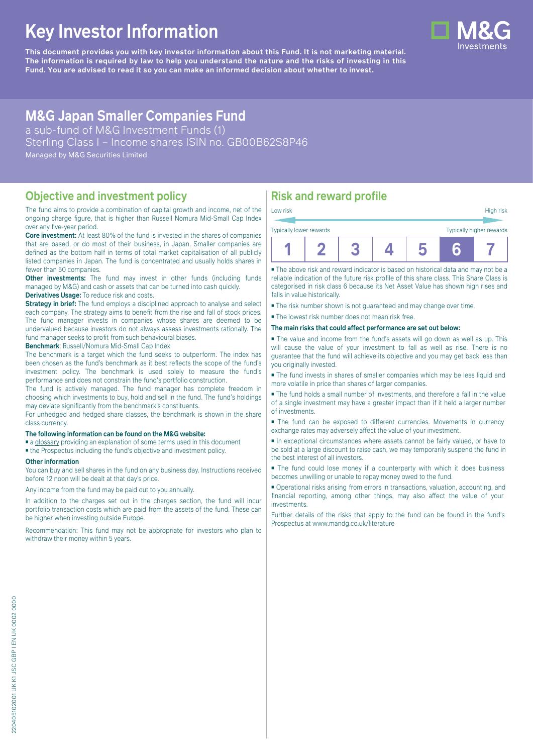# **Key Investor Information**

**This document provides you with key investor information about this Fund. It is not marketing material.** The information is required by law to help you understand the nature and the risks of investing in this **Fund. You are advised to read it so you can make an informed decision about whether to invest.**

## **M&G Japan Smaller Companies Fund**

a sub-fund of M&G Investment Funds (1) Sterling Class I – Income shares ISIN no. GB00B62S8P46 Managed by M&G Securities Limited

### **Objective and investment policy**

The fund aims to provide a combination of capital growth and income, net of the ongoing charge figure, that is higher than Russell Nomura Mid-Small Cap Index over any five-year period.

**Core investment:** At least 80% of the fund is invested in the shares of companies that are based, or do most of their business, in Japan. Smaller companies are defined as the bottom half in terms of total market capitalisation of all publicly listed companies in Japan. The fund is concentrated and usually holds shares in fewer than 50 companies.

**Other investments:** The fund may invest in other funds (including funds managed by M&G) and cash or assets that can be turned into cash quickly. **Derivatives Usage:** To reduce risk and costs.

**Strategy in brief:** The fund employs a disciplined approach to analyse and select each company. The strategy aims to benefit from the rise and fall of stock prices. The fund manager invests in companies whose shares are deemed to be undervalued because investors do not always assess investments rationally. The fund manager seeks to profit from such behavioural biases.

**Benchmark**: Russell/Nomura Mid-Small Cap Index

The benchmark is a target which the fund seeks to outperform. The index has been chosen as the fund's benchmark as it best reflects the scope of the fund's investment policy. The benchmark is used solely to measure the fund's performance and does not constrain the fund's portfolio construction.

The fund is actively managed. The fund manager has complete freedom in choosing which investments to buy, hold and sell in the fund. The fund's holdings may deviate significantly from the benchmark's constituents.

For unhedged and hedged share classes, the benchmark is shown in the share class currency.

#### **The following information can be found on the M&G website:**

- [a glossary](https://docs.mandg.com/docs/glossary-master-en.pdf) providing an explanation of some terms used in this document
- the Prospectus including the fund's objective and investment policy.

#### **Other information**

You can buy and sell shares in the fund on any business day. Instructions received before 12 noon will be dealt at that day's price.

Any income from the fund may be paid out to you annually.

In addition to the charges set out in the charges section, the fund will incur portfolio transaction costs which are paid from the assets of the fund. These can be higher when investing outside Europe.

Recommendation: This fund may not be appropriate for investors who plan to withdraw their money within 5 years.

### **Risk and reward profile**

| Low risk                |  |  | High risk                |
|-------------------------|--|--|--------------------------|
| Typically lower rewards |  |  | Typically higher rewards |
|                         |  |  |                          |

■ The above risk and reward indicator is based on historical data and may not be a reliable indication of the future risk profile of this share class. This Share Class is categorised in risk class 6 because its Net Asset Value has shown high rises and falls in value historically.

- The risk number shown is not guaranteed and may change over time.
- The lowest risk number does not mean risk free.

#### **The main risks that could affect performance are set out below:**

■ The value and income from the fund's assets will go down as well as up. This will cause the value of your investment to fall as well as rise. There is no guarantee that the fund will achieve its objective and you may get back less than you originally invested.

■ The fund invests in shares of smaller companies which may be less liquid and more volatile in price than shares of larger companies.

■ The fund holds a small number of investments, and therefore a fall in the value of a single investment may have a greater impact than if it held a larger number of investments.

■ The fund can be exposed to different currencies. Movements in currency exchange rates may adversely affect the value of your investment.

■ In exceptional circumstances where assets cannot be fairly valued, or have to be sold at a large discount to raise cash, we may temporarily suspend the fund in the best interest of all investors.

■ The fund could lose money if a counterparty with which it does business becomes unwilling or unable to repay money owed to the fund.

■ Operational risks arising from errors in transactions, valuation, accounting, and financial reporting, among other things, may also affect the value of your investments.

Further details of the risks that apply to the fund can be found in the fund's Prospectus at [www.mandg.co.uk/literature](http://www.mandg.co.uk/literature)